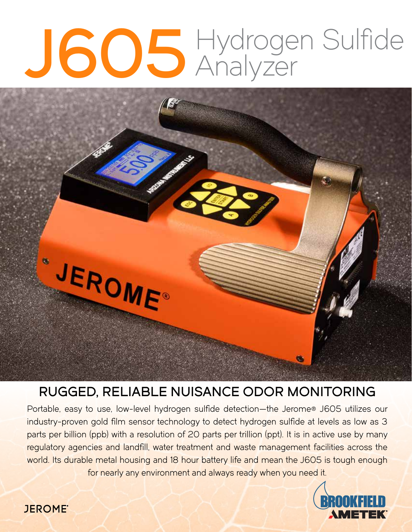# J605 Hydrogen Sulfide

# "JEROME"

# RUGGED, RELIABLE NUISANCE ODOR MONITORING

Portable, easy to use, low-level hydrogen sulfide detection—the Jerome® J605 utilizes our industry-proven gold film sensor technology to detect hydrogen sulfide at levels as low as 3 parts per billion (ppb) with a resolution of 20 parts per trillion (ppt). It is in active use by many regulatory agencies and landfill, water treatment and waste management facilities across the world. Its durable metal housing and 18 hour battery life and mean the J605 is tough enough for nearly any environment and always ready when you need it.



# **JEROME**®